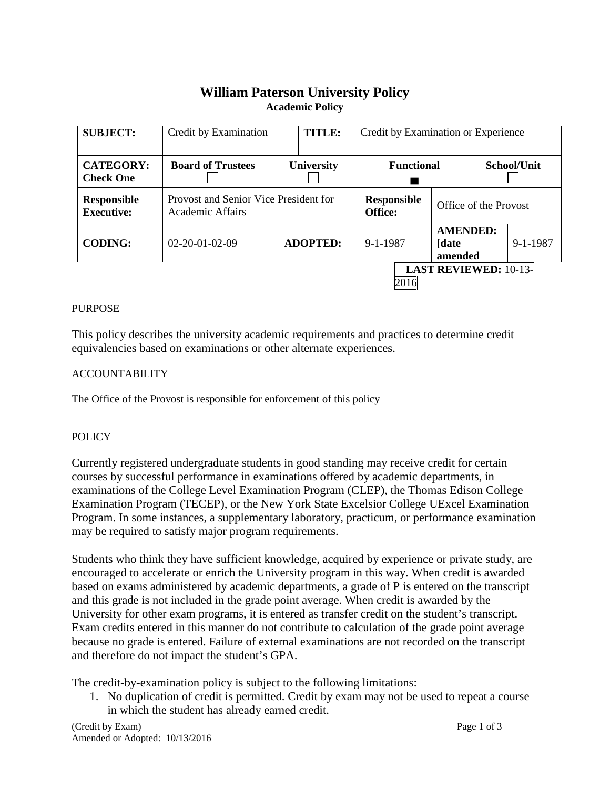# **William Paterson University Policy Academic Policy**

| <b>SUBJECT:</b>                         | Credit by Examination                                     |                   | <b>TITLE:</b>   | Credit by Examination or Experience |                   |                                      |                              |          |
|-----------------------------------------|-----------------------------------------------------------|-------------------|-----------------|-------------------------------------|-------------------|--------------------------------------|------------------------------|----------|
| <b>CATEGORY:</b><br><b>Check One</b>    | <b>Board of Trustees</b>                                  | <b>University</b> |                 |                                     | <b>Functional</b> |                                      | School/Unit                  |          |
| <b>Responsible</b><br><b>Executive:</b> | Provost and Senior Vice President for<br>Academic Affairs |                   |                 | <b>Responsible</b><br>Office:       |                   | Office of the Provost                |                              |          |
| <b>CODING:</b>                          | $02 - 20 - 01 - 02 - 09$                                  |                   | <b>ADOPTED:</b> | 9-1-1987                            |                   | <b>AMENDED:</b><br>[date]<br>amended |                              | 9-1-1987 |
|                                         |                                                           |                   |                 |                                     | 2016              |                                      | <b>LAST REVIEWED: 10-13-</b> |          |

### PURPOSE

This policy describes the university academic requirements and practices to determine credit equivalencies based on examinations or other alternate experiences.

## ACCOUNTABILITY

The Office of the Provost is responsible for enforcement of this policy

## POLICY

Currently registered undergraduate students in good standing may receive credit for certain courses by successful performance in examinations offered by academic departments, in examinations of the College Level Examination Program (CLEP), the Thomas Edison College Examination Program (TECEP), or the New York State Excelsior College UExcel Examination Program. In some instances, a supplementary laboratory, practicum, or performance examination may be required to satisfy major program requirements.

Students who think they have sufficient knowledge, acquired by experience or private study, are encouraged to accelerate or enrich the University program in this way. When credit is awarded based on exams administered by academic departments, a grade of P is entered on the transcript and this grade is not included in the grade point average. When credit is awarded by the University for other exam programs, it is entered as transfer credit on the student's transcript. Exam credits entered in this manner do not contribute to calculation of the grade point average because no grade is entered. Failure of external examinations are not recorded on the transcript and therefore do not impact the student's GPA.

The credit-by-examination policy is subject to the following limitations:

1. No duplication of credit is permitted. Credit by exam may not be used to repeat a course in which the student has already earned credit.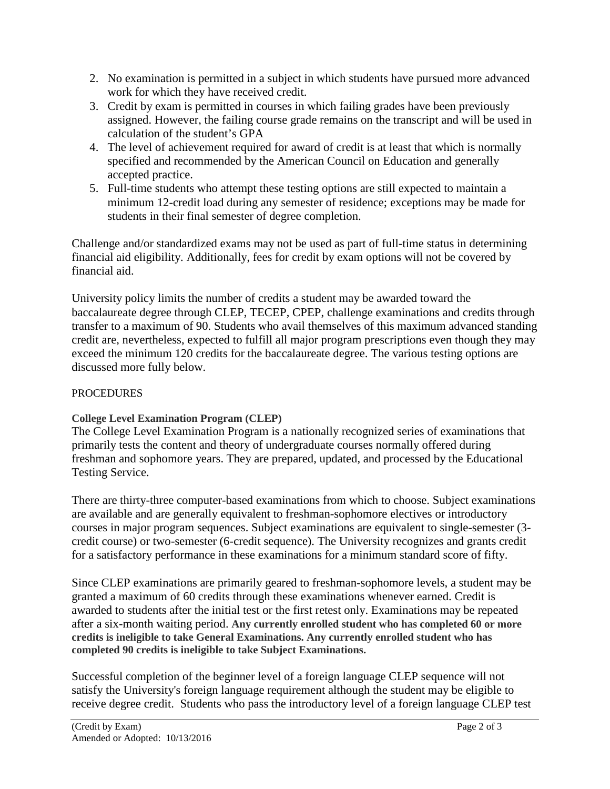- 2. No examination is permitted in a subject in which students have pursued more advanced work for which they have received credit.
- 3. Credit by exam is permitted in courses in which failing grades have been previously assigned. However, the failing course grade remains on the transcript and will be used in calculation of the student's GPA
- 4. The level of achievement required for award of credit is at least that which is normally specified and recommended by the American Council on Education and generally accepted practice.
- 5. Full-time students who attempt these testing options are still expected to maintain a minimum 12-credit load during any semester of residence; exceptions may be made for students in their final semester of degree completion.

Challenge and/or standardized exams may not be used as part of full-time status in determining financial aid eligibility. Additionally, fees for credit by exam options will not be covered by financial aid.

University policy limits the number of credits a student may be awarded toward the baccalaureate degree through CLEP, TECEP, CPEP, challenge examinations and credits through transfer to a maximum of 90. Students who avail themselves of this maximum advanced standing credit are, nevertheless, expected to fulfill all major program prescriptions even though they may exceed the minimum 120 credits for the baccalaureate degree. The various testing options are discussed more fully below.

## **PROCEDURES**

# **College Level Examination Program (CLEP)**

The College Level Examination Program is a nationally recognized series of examinations that primarily tests the content and theory of undergraduate courses normally offered during freshman and sophomore years. They are prepared, updated, and processed by the Educational Testing Service.

There are thirty-three computer-based examinations from which to choose. Subject examinations are available and are generally equivalent to freshman-sophomore electives or introductory courses in major program sequences. Subject examinations are equivalent to single-semester (3 credit course) or two-semester (6-credit sequence). The University recognizes and grants credit for a satisfactory performance in these examinations for a minimum standard score of fifty.

Since CLEP examinations are primarily geared to freshman-sophomore levels, a student may be granted a maximum of 60 credits through these examinations whenever earned. Credit is awarded to students after the initial test or the first retest only. Examinations may be repeated after a six-month waiting period. **Any currently enrolled student who has completed 60 or more credits is ineligible to take General Examinations. Any currently enrolled student who has completed 90 credits is ineligible to take Subject Examinations.**

Successful completion of the beginner level of a foreign language CLEP sequence will not satisfy the University's foreign language requirement although the student may be eligible to receive degree credit. Students who pass the introductory level of a foreign language CLEP test